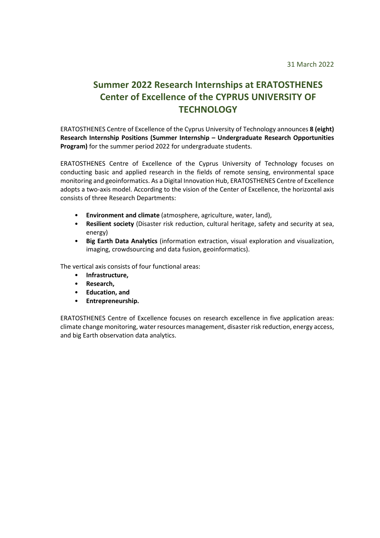## **Summer 2022 Research Internships at ERATOSTHENES Center of Excellence of the CYPRUS UNIVERSITY OF TECHNOLOGY**

ERATOSTHENES Centre of Excellence of the Cyprus University of Technology announces **8 (eight) Research Internship Positions (Summer Internship – Undergraduate Research Opportunities Program)** for the summer period 2022 for undergraduate students.

ERATOSTHENES Centre of Excellence of the Cyprus University of Technology focuses on conducting basic and applied research in the fields of remote sensing, environmental space monitoring and geoinformatics. As a Digital Innovation Hub, ERATOSTHENES Centre of Excellence adopts a two-axis model. According to the vision of the Center of Excellence, the horizontal axis consists of three Research Departments:

- **Environment and climate** (atmosphere, agriculture, water, land),
- **Resilient society** (Disaster risk reduction, cultural heritage, safety and security at sea, energy)
- **Big Earth Data Analytics** (information extraction, visual exploration and visualization, imaging, crowdsourcing and data fusion, geoinformatics).

The vertical axis consists of four functional areas:

- **Infrastructure,**
- **Research,**
- **Education, and**
- **Entrepreneurship.**

ERATOSTHENES Centre of Excellence focuses on research excellence in five application areas: climate change monitoring, water resources management, disaster risk reduction, energy access, and big Earth observation data analytics.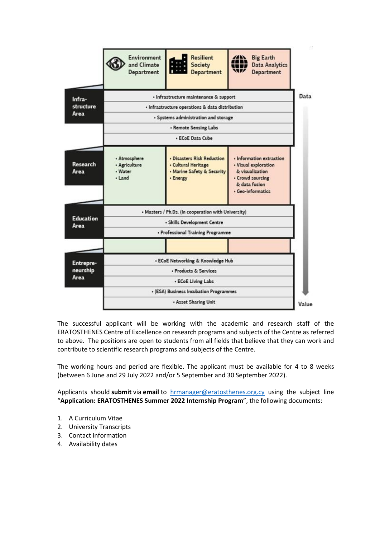

The successful applicant will be working with the academic and research staff of the ERATOSTHENES Centre of Excellence on research programs and subjects of the Centre as referred to above. The positions are open to students from all fields that believe that they can work and contribute to scientific research programs and subjects of the Centre.

The working hours and period are flexible. The applicant must be available for 4 to 8 weeks (between 6 June and 29 July 2022 and/or 5 September and 30 September 2022).

Applicants should **submit** via **email** to [hrmanager@eratosthenes.org.cy](mailto:hrmanager@eratosthenes.org.cy) using the subject line "**Application: ERATOSTHENES Summer 2022 Internship Program**", the following documents:

- 1. A Curriculum Vitae
- 2. University Transcripts
- 3. Contact information
- 4. Availability dates